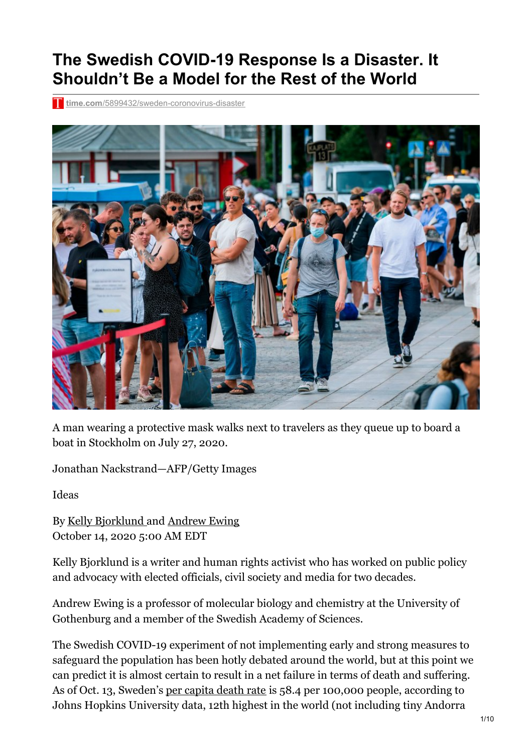## **The Swedish COVID-19 Response Is a Disaster. It Shouldn't Be a Model for the Rest of the World**

**time.com**[/5899432/sweden-coronovirus-disaster](https://time.com/5899432/sweden-coronovirus-disaster/)



A man wearing a protective mask walks next to travelers as they queue up to board a boat in Stockholm on July 27, 2020.

Jonathan Nackstrand—AFP/Getty Images

Ideas

By Kelly [Bjorklund](https://time.com/author/kelly-bjorklund/) and [Andrew](https://time.com/author/andrew-ewing/) Ewing October 14, 2020 5:00 AM EDT

Kelly Bjorklund is a writer and human rights activist who has worked on public policy and advocacy with elected officials, civil society and media for two decades.

Andrew Ewing is a professor of molecular biology and chemistry at the University of Gothenburg and a member of the Swedish Academy of Sciences.

The Swedish COVID-19 experiment of not implementing early and strong measures to safeguard the population has been hotly debated around the world, but at this point we can predict it is almost certain to result in a net failure in terms of death and suffering. As of Oct. 13, Sweden's per [capita](https://time.com/5800901/coronavirus-map/) death rate is 58.4 per 100,000 people, according to Johns Hopkins University data, 12th highest in the world (not including tiny Andorra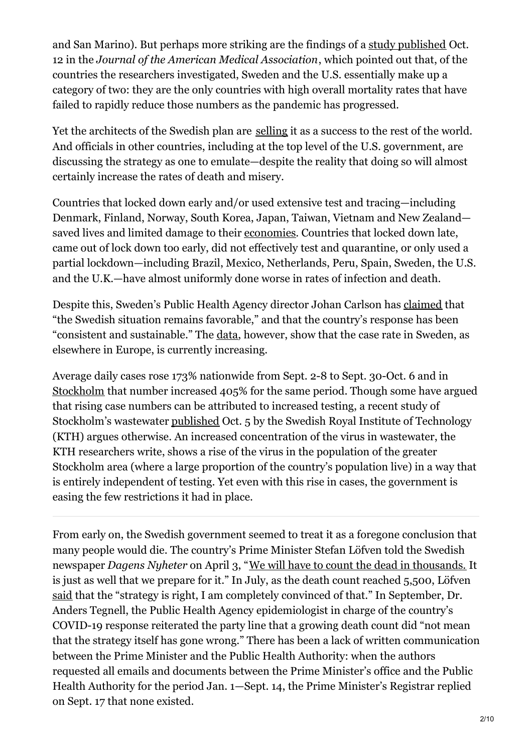and San Marino). But perhaps more striking are the findings of a study [published](https://jamanetwork.com/journals/jama/fullarticle/2771841) Oct. 12 in the *Journal of the American Medical Association*, which pointed out that, of the countries the researchers investigated, Sweden and the U.S. essentially make up a category of two: they are the only countries with high overall mortality rates that have failed to rapidly reduce those numbers as the pandemic has progressed.

Yet the architects of the Swedish plan are [selling](https://www.youtube.com/watch?v=4bCTt3PAPVU) it as a success to the rest of the world. And officials in other countries, including at the top level of the U.S. government, are discussing the strategy as one to emulate—despite the reality that doing so will almost certainly increase the rates of death and misery.

Countries that locked down early and/or used extensive test and tracing—including Denmark, Finland, Norway, South Korea, Japan, Taiwan, Vietnam and New Zealand saved lives and limited damage to their [economies.](https://tradingeconomics.com/country-list/gdp-growth-rate) Countries that locked down late, came out of lock down too early, did not effectively test and quarantine, or only used a partial lockdown—including Brazil, Mexico, Netherlands, Peru, Spain, Sweden, the U.S. and the U.K.—have almost uniformly done worse in rates of infection and death.

Despite this, Sweden's Public Health Agency director Johan Carlson has [claimed](https://www.svd.se/folkhalsomyndigheten-haller-presstraff-l07o) that "the Swedish situation remains favorable," and that the country's response has been "consistent and sustainable." The [data](http://c19.se/), however, show that the case rate in Sweden, as elsewhere in Europe, is currently increasing.

Average daily cases rose 173% nationwide from Sept. 2-8 to Sept. 30-Oct. 6 and in [Stockholm](https://c19.se/Sweden/Stockholm) that number increased 405% for the same period. Though some have argued that rising case numbers can be attributed to increased testing, a recent study of Stockholm's wastewater [published](https://www.kth.se/aktuellt/nyheter/avloppsvatten-visar-stor-okning-av-covid-19-i-stockholm-1.1016275) Oct. 5 by the Swedish Royal Institute of Technology (KTH) argues otherwise. An increased concentration of the virus in wastewater, the KTH researchers write, shows a rise of the virus in the population of the greater Stockholm area (where a large proportion of the country's population live) in a way that is entirely independent of testing. Yet even with this rise in cases, the government is easing the few restrictions it had in place.

From early on, the Swedish government seemed to treat it as a foregone conclusion that many people would die. The country's Prime Minister Stefan Löfven told the Swedish newspaper *Dagens Nyheter* on April 3, "We will have to count the dead in [thousands.](https://www.dn.se/nyheter/sverige/stefan-lofven-tusentals-kommer-att-do/) It is just as well that we prepare for it." In July, as the death count reached 5,500, Löfven [said](https://www.aftonbladet.se/nyheter/a/4q5jG6/stefan-lofven-i-stor-intervju-svenska-coronastrategin-ratt) that the "strategy is right, I am completely convinced of that." In September, Dr. Anders Tegnell, the Public Health Agency epidemiologist in charge of the country's COVID-19 response reiterated the party line that a growing death count did "not mean that the strategy itself has gone wrong." There has been a lack of written communication between the Prime Minister and the Public Health Authority: when the authors requested all emails and documents between the Prime Minister's office and the Public Health Authority for the period Jan. 1—Sept. 14, the Prime Minister's Registrar replied on Sept. 17 that none existed.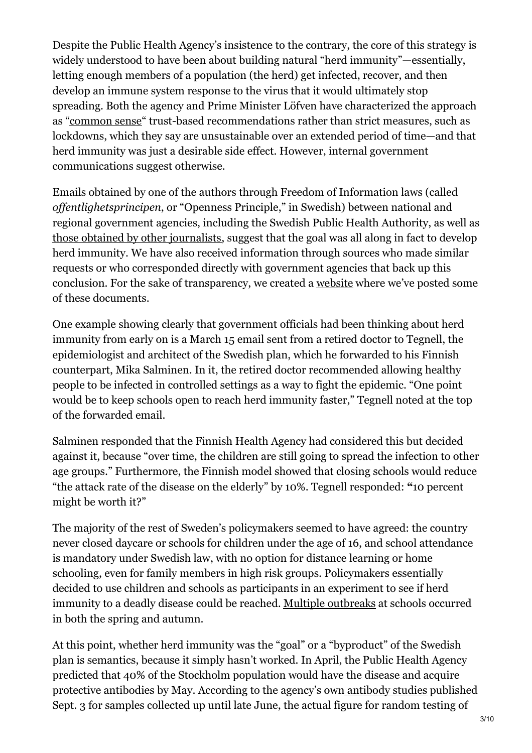Despite the Public Health Agency's insistence to the contrary, the core of this strategy is widely understood to have been about building natural "herd immunity"—essentially, letting enough members of a population (the herd) get infected, recover, and then develop an immune system response to the virus that it would ultimately stop spreading. Both the agency and Prime Minister Löfven have characterized the approach as ["common](https://www.sciencedirect.com/science/article/pii/S2352827320302809?fbclid=IwAR223RTANvJEwtPLXuRzRNvKNS28rRrv1Xt1HII661C7aR9zfxxTKq8b4c0) sense" trust-based recommendations rather than strict measures, such as lockdowns, which they say are unsustainable over an extended period of time—and that herd immunity was just a desirable side effect. However, internal government communications suggest otherwise.

Emails obtained by one of the authors through Freedom of Information laws (called *of entlighetsprincipen*, or "Openness Principle," in Swedish) between national and regional government agencies, including the Swedish Public Health Authority, as well as those obtained by other [journalists](https://www.theguardian.com/world/2020/aug/17/swedens-covid-19-strategist-under-fire-over-herd-immunity-emails), suggest that the goal was all along in fact to develop herd immunity. We have also received information through sources who made similar requests or who corresponded directly with government agencies that back up this conclusion. For the sake of transparency, we created a [website](https://covidfactcheck.se/) where we've posted some of these documents.

One example showing clearly that government officials had been thinking about herd immunity from early on is a March 15 email sent from a retired doctor to Tegnell, the epidemiologist and architect of the Swedish plan, which he forwarded to his Finnish counterpart, Mika Salminen. In it, the retired doctor recommended allowing healthy people to be infected in controlled settings as a way to fight the epidemic. "One point would be to keep schools open to reach herd immunity faster," Tegnell noted at the top of the forwarded email.

Salminen responded that the Finnish Health Agency had considered this but decided against it, because "over time, the children are still going to spread the infection to other age groups." Furthermore, the Finnish model showed that closing schools would reduce "the attack rate of the disease on the elderly" by 10%. Tegnell responded: **"**10 percent might be worth it?"

The majority of the rest of Sweden's policymakers seemed to have agreed: the country never closed daycare or schools for children under the age of 16, and school attendance is mandatory under Swedish law, with no option for distance learning or home schooling, even for family members in high risk groups. Policymakers essentially decided to use children and schools as participants in an experiment to see if herd immunity to a deadly disease could be reached. Multiple [outbreaks](https://www.google.com/maps/d/u/0/viewer?mid=1w7se6os3RVB716ljPmRuvwPEZsBqXd4v&ll=61.04403930711468%2C17.65356355000001&z=5) at schools occurred in both the spring and autumn.

At this point, whether herd immunity was the "goal" or a "byproduct" of the Swedish plan is semantics, because it simply hasn't worked. In April, the Public Health Agency predicted that 40% of the Stockholm population would have the disease and acquire protective antibodies by May. According to the agency's own [antibody](https://www.folkhalsomyndigheten.se/nyheter-och-press/nyhetsarkiv/2020/maj/forsta-resultaten-fran-pagaende-undersokning-av-antikroppar-for-covid-19-virus/) studies published Sept. 3 for samples collected up until late June, the actual figure for random testing of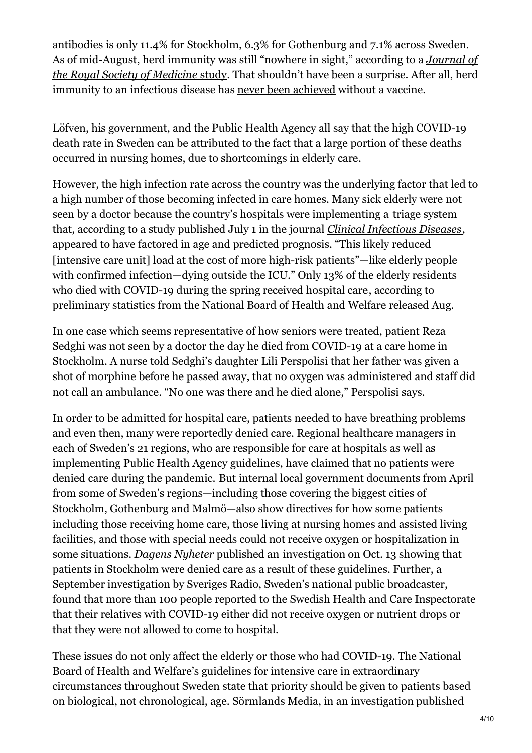antibodies is only 11.4% for Stockholm, 6.3% for Gothenburg and 7.1% across Sweden. As of [mid-August,](https://journals.sagepub.com/doi/full/10.1177/0141076820945282) herd immunity was still "nowhere in sight," according to a *Journal of the Royal Society of Medicine* study. That shouldn't have been a surprise. After all, herd immunity to an infectious disease has never been [achieved](https://www.who.int/docs/default-source/coronaviruse/transcripts/covid-19-virtual-press-conference---27-august.pdf?sfvrsn=29b56c3d_2) without a vaccine.

Löfven, his government, and the Public Health Agency all say that the high COVID-19 death rate in Sweden can be attributed to the fact that a large portion of these deaths occurred in nursing homes, due to [shortcomings](https://www.fr24news.com/a/2020/05/sweden-records-highest-number-of-coronavirus-deaths-in-three-weeks.html) in elderly care.

However, the high infection rate across the country was the underlying factor that led to a high number of those becoming infected in care homes. Many sick elderly were not seen by a doctor because the country's hospitals were [implementing](https://www.svt.se/nyheter/snabbkollen/fa-som-dott-med-covid-pa-aldreboende-fick-sjukhusvard?cmpid=del%3Afb%3A20200807%3Afa-som-dott-med-covid-%E2%80%A61/1) a triage [system](https://academic.oup.com/cid/advance-article/doi/10.1093/cid/ciaa864/5866094) that, according to a study published July 1 in the journal *Clinical [Infectious](https://academic.oup.com/cid/advance-article/doi/10.1093/cid/ciaa864/5866094) Diseases*, appeared to have factored in age and predicted prognosis. "This likely reduced [intensive care unit] load at the cost of more high-risk patients"—like elderly people with confirmed infection—dying outside the ICU." Only 13% of the elderly residents who died with COVID-19 during the spring [received](https://www.svt.se/nyheter/snabbkollen/fa-som-dott-med-covid-pa-aldreboende-fick-sjukhusvard?cmpid=del%3Afb%3A20200807%3Afa-som-dott-med-covid-%E2%80%A61/1) hospital care, according to preliminary statistics from the National Board of Health and Welfare released Aug.

In one case which seems representative of how seniors were treated, patient Reza Sedghi was not seen by a doctor the day he died from COVID-19 at a care home in Stockholm. A nurse told Sedghi's daughter Lili Perspolisi that her father was given a shot of morphine before he passed away, that no oxygen was administered and staff did not call an ambulance. "No one was there and he died alone," Perspolisi says.

In order to be admitted for hospital care, patients needed to have breathing problems and even then, many were reportedly denied care. Regional healthcare managers in each of Sweden's 21 regions, who are responsible for care at hospitals as well as implementing Public Health Agency guidelines, have claimed that no patients were [denied](https://www.dn.se/nyheter/sverige/kand-imam-i-goteborg-avliden-i-covid-19/) care during the pandemic. But internal local [government](https://covidfactcheck.se/) documents from April from some of Sweden's regions—including those covering the biggest cities of Stockholm, Gothenburg and Malmö—also show directives for how some patients including those receiving home care, those living at nursing homes and assisted living facilities, and those with special needs could not receive oxygen or hospitalization in some situations. *Dagens Nyheter* published an [investigation](https://www.dn.se/kultur/varfor-fick-de-aldre-do-utan-lakarvard/) on Oct. 13 showing that patients in Stockholm were denied care as a result of these guidelines. Further, a September [investigation](https://sverigesradio.se/sida/artikel.aspx?programid=83&artikel=7561304) by Sveriges Radio, Sweden's national public broadcaster, found that more than 100 people reported to the Swedish Health and Care Inspectorate that their relatives with COVID-19 either did not receive oxygen or nutrient drops or that they were not allowed to come to hospital.

These issues do not only affect the elderly or those who had COVID-19. The National Board of Health and Welfare's guidelines for intensive care in extraordinary circumstances throughout Sweden state that priority should be given to patients based on biological, not chronological, age. Sörmlands Media, in an [investigation](https://ekuriren.se/artikel/pr5ne5nr?fbclid=IwAR1iV61aTeVrUV0KrgXgIrhU5Eu8A-URbAJYkkSiPJbU49KnJgRNrzVkI_A) published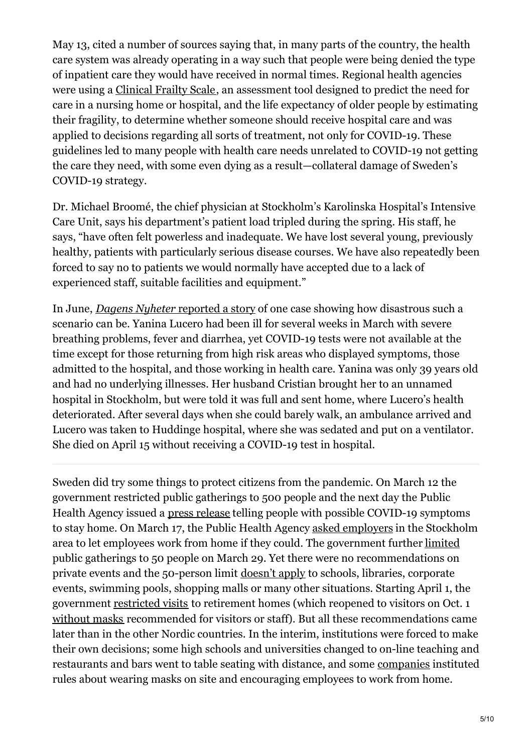May 13, cited a number of sources saying that, in many parts of the country, the health care system was already operating in a way such that people were being denied the type of inpatient care they would have received in normal times. Regional health agencies were using a [Clinical](https://covidfactcheck.se/) Frailty Scale, an assessment tool designed to predict the need for care in a nursing home or hospital, and the life expectancy of older people by estimating their fragility, to determine whether someone should receive hospital care and was applied to decisions regarding all sorts of treatment, not only for COVID-19. These guidelines led to many people with health care needs unrelated to COVID-19 not getting the care they need, with some even dying as a result—collateral damage of Sweden's COVID-19 strategy.

Dr. Michael Broomé, the chief physician at Stockholm's Karolinska Hospital's Intensive Care Unit, says his department's patient load tripled during the spring. His staff, he says, "have often felt powerless and inadequate. We have lost several young, previously healthy, patients with particularly serious disease courses. We have also repeatedly been forced to say no to patients we would normally have accepted due to a lack of experienced staff, suitable facilities and equipment."

In June, *Dagens Nyheter* [reported](https://www.dn.se/nyheter/sverige/tvabarnsmamman-yanina-fran-sollentuna-blev-bara-39-ar-avled-i-misstankt-covid-19/) a story of one case showing how disastrous such a scenario can be. Yanina Lucero had been ill for several weeks in March with severe breathing problems, fever and diarrhea, yet COVID-19 tests were not available at the time except for those returning from high risk areas who displayed symptoms, those admitted to the hospital, and those working in health care. Yanina was only 39 years old and had no underlying illnesses. Her husband Cristian brought her to an unnamed hospital in Stockholm, but were told it was full and sent home, where Lucero's health deteriorated. After several days when she could barely walk, an ambulance arrived and Lucero was taken to Huddinge hospital, where she was sedated and put on a ventilator. She died on April 15 without receiving a COVID-19 test in hospital.

Sweden did try some things to protect citizens from the pandemic. On March 12 the government restricted public gatherings to 500 people and the next day the Public Health Agency issued a press [release](https://www.folkhalsomyndigheten.se/nyheter-och-press/nyhetsarkiv/2020/mars/ny-fas-kraver-nya-insatser-mot-covid-19/) telling people with possible COVID-19 symptoms to stay home. On March 17, the Public Health Agency asked [employers](https://www.krisinformation.se/en/news/2020/march/the-public-health-agency-is-calling-for-working-remotely) in the Stockholm area to let employees work from home if they could. The government further [limited](https://www.folkhalsomyndigheten.se/the-public-health-agency-of-sweden/communicable-disease-control/covid-19/public-gatherings/) public gatherings to 50 people on March 29. Yet there were no recommendations on private events and the 50-person limit [doesn't](https://polisen.se/aktuellt/nyheter/2020/mars/ytterligare-begransade-mojligheter-till-allmanna-sammankomster-och-tillstallningar/) apply to schools, libraries, corporate events, swimming pools, shopping malls or many other situations. Starting April 1, the government [restricted](https://www.krisinformation.se/en/news/2020/march/national-ban-on-visiting-retirement-homes/) visits to retirement homes (which reopened to visitors on Oct. 1 [without](https://www.aftonbladet.se/debatt/a/PR3Xm7/utan-besoksforbud-maste-aldre-skyddas) masks recommended for visitors or staff). But all these recommendations came later than in the other Nordic countries. In the interim, institutions were forced to make their own decisions; some high schools and universities changed to on-line teaching and restaurants and bars went to table seating with distance, and some [companies](https://www.aftonbladet.se/minekonomi/a/BlJQAl/ericsson-anstallda-maste-bara-mask?fbclid=IwAR0eDabXMGqRIt2iKnYtkpcWueDe3vyw11gM2Kum5eQqrlQo34dxl3PgHWU) instituted rules about wearing masks on site and encouraging employees to work from home.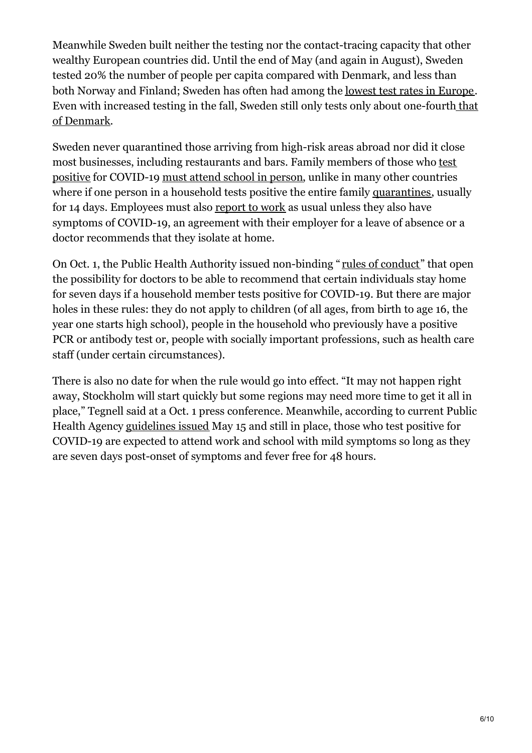Meanwhile Sweden built neither the testing nor the contact-tracing capacity that other wealthy European countries did. Until the end of May (and again in August), Sweden tested 20% the number of people per capita compared with Denmark, and less than both Norway and Finland; Sweden has often had among the lowest test rates in [Europe](https://ourworldindata.org/grapher/full-list-daily-covid-19-tests-per-thousand?time=2020-02-18..latest&country=BEL~FIN~GRC~ISL~ITA~SWE~DNK~FRA~NOR~CHE~GBR). Even with increased testing in the fall, Sweden still only tests only about [one-fourth](https://ourworldindata.org/grapher/full-list-daily-covid-19-tests-per-thousand?time=2020-02-18..latest&country=BEL~FIN~GRC~ISL~ITA~SWE~DNK~FRA~NOR~CHE~GBR) that of Denmark.

Sweden never quarantined those arriving from high-risk areas abroad nor did it close most businesses, including [restaurants](https://www.folkhalsomyndigheten.se/the-public-health-agency-of-sweden/communicable-disease-control/covid-19/) and bars. Family members of those who test positive for COVID-19 must attend school in [person](https://www.skolverket.se/regler-och-ansvar/ansvar-i-skolfragor/skolplikt-och-ratt-till-utbildning), unlike in many other countries where if one person in a household tests positive the entire family [quarantines](https://www.ecdc.europa.eu/sites/default/files/documents/covid-19-guidance-discharge-and-ending-isolation-first update.pdf), usually for 14 days. Employees must also [report](https://www.civilekonomen.se/experterna/medlemsfragan/far-man-arbetsvagra/) to work as usual unless they also have symptoms of COVID-19, an agreement with their employer for a leave of absence or a doctor recommends that they isolate at home.

On Oct. 1, the Public Health Authority issued non-binding " rules of [conduct](https://www.folkhalsomyndigheten.se/publicerat-material/publikationsarkiv/v/vagledning-for-smittsparning-av-covid-19/)" that open the possibility for doctors to be able to recommend that certain individuals stay home for seven days if a household member tests positive for COVID-19. But there are major holes in these rules: they do not apply to children (of all ages, from birth to age 16, the year one starts high school), people in the household who previously have a positive PCR or antibody test or, people with socially important professions, such as health care staff (under certain circumstances).

There is also no date for when the rule would go into effect. "It may not happen right away, Stockholm will start quickly but some regions may need more time to get it all in place," Tegnell said at a Oct. 1 press conference. Meanwhile, according to current Public Health Agency [guidelines](https://www.folkhalsomyndigheten.se/publicerat-material/publikationsarkiv/v/vagledning-om-kriterier-for-bedomning-av-smittfrihet-vid-covid-19/) issued May 15 and still in place, those who test positive for COVID-19 are expected to attend work and school with mild symptoms so long as they are seven days post-onset of symptoms and fever free for 48 hours.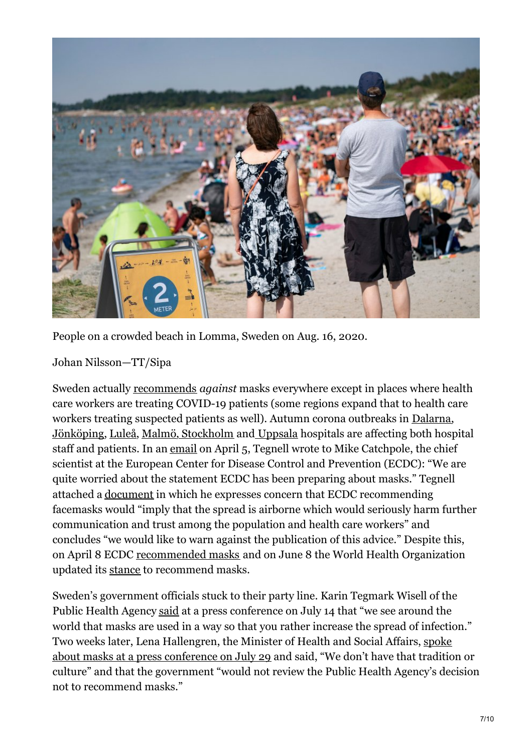

People on a crowded beach in Lomma, Sweden on Aug. 16, 2020.

Johan Nilsson—TT/Sipa

Sweden actually [recommends](https://www.folkhalsomyndigheten.se/the-public-health-agency-of-sweden/communicable-disease-control/covid-19/) *against* masks everywhere except in places where health care workers are treating COVID-19 patients (some regions expand that to health care workers treating suspected patients as well). Autumn corona outbreaks in [Dalarna](https://annonsbladet.com/coronautbrott-pa-vardavdelning-vid-falu-lasarett-inbegripna-med-smittsparning/), [Jönköping](https://www.svd.se/covidfall-i-jonkoping-lex-maria-anmals), [Luleå](https://www.svt.se/nyheter/lokalt/norrbotten/coronautbrott-pa-sunderby-sjukhus-medarbetare-smittade?fbclid=IwAR3cgBVXbUF_4mAbv22wO2lMUbYZvQOt1ww4HyyNyJWZX57FWrddk8CneZ8), [Malmö](https://www.sydsvenskan.se/2020-10-08/coronautbrott-pa-sus-kirurgiska-avdelning-mycket-allvarligt?utm_content=buffer6e818&utm_medium=sydsvenskan&utm_source=fb&utm_campaign=bfr&fbclid=IwAR1OegtCyN1WhmxJ4AZBQXzxy2ACpt6jufozHspcRqlgWtzqj-rM3XCPLjc), [Stockholm](http://stockholm/) and [Uppsala](https://www.svd.se/operationer-stoppas-pa-akademiska-i-uppsala) hospitals are affecting both hospital staff and patients. In an [email](https://covidfactcheck.se/) on April 5, Tegnell wrote to Mike Catchpole, the chief scientist at the European Center for Disease Control and Prevention (ECDC): "We are quite worried about the statement ECDC has been preparing about masks." Tegnell attached a [document](https://covidfactcheck.se/) in which he expresses concern that ECDC recommending facemasks would "imply that the spread is airborne which would seriously harm further communication and trust among the population and health care workers" and concludes "we would like to warn against the publication of this advice." Despite this, on April 8 ECDC [recommended](https://www.ecdc.europa.eu/en/publications-data/using-face-masks-community-reducing-covid-19-transmission) masks and on June 8 the World Health Organization updated its [stance](https://www.who.int/emergencies/diseases/novel-coronavirus-2019/advice-for-public/when-and-how-to-use-masks?fbclid=IwAR2p_14e_sqnpB0QMFyHcty74um-u_CnTj9YGklwkooqs0is3qhiWVFf8pQ) to recommend masks.

Sweden's government officials stuck to their party line. Karin Tegmark Wisell of the Public Health Agency [said](https://www.aftonbladet.se/tv/a/eKWP9R/karin-tegmark-wisell-munskydd-kan-oka-risken-for-smittspridning) at a press conference on July 14 that "we see around the world that masks are used in a way so that you rather increase the spread of infection." Two weeks later, Lena [Hallengren,](https://www.expressen.se/tv/nyheter/coronaviruset/hallengren-s-i-sverige-fattar-vi-inte-politiska-beslut-nar-det-galler-skyddsutrustning-/) the Minister of Health and Social Affairs, spoke about masks at a press conference on July 29 and said, "We don't have that tradition or culture" and that the government "would not review the Public Health Agency's decision not to recommend masks."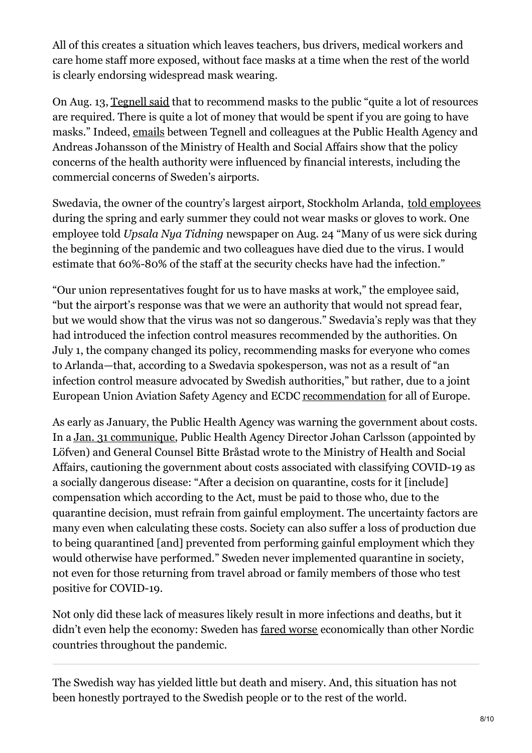All of this creates a situation which leaves teachers, bus drivers, medical workers and care home staff more exposed, without face masks at a time when the rest of the world is clearly endorsing widespread mask wearing.

On Aug. 13, [Tegnell](https://www.svt.se/nyheter/inrikes/ki-s-rektor-forordar-munskydd-nar-campus-oppnar?fbclid=IwAR3a1bfWZxzx_NnfZrsdIsdSyDyf2rcpJcBcJpGb9LrU6idOP4mpM_jeYM) said that to recommend masks to the public "quite a lot of resources are required. There is quite a lot of money that would be spent if you are going to have masks." Indeed, [emails](https://covidfactcheck.se/) between Tegnell and colleagues at the Public Health Agency and Andreas Johansson of the Ministry of Health and Social Affairs show that the policy concerns of the health authority were influenced by financial interests, including the commercial concerns of Sweden's airports.

Swedavia, the owner of the country's largest airport, Stockholm Arlanda, told [employees](https://covidfactcheck.se/) during the spring and early summer they could not wear masks or gloves to work. One employee told *Upsala Nya Tidning* newspaper on Aug. 24 "Many of us were sick during the beginning of the pandemic and two colleagues have died due to the virus. I would estimate that 60%-80% of the staff at the security checks have had the infection."

"Our union representatives fought for us to have masks at work," the employee said, "but the airport's response was that we were an authority that would not spread fear, but we would show that the virus was not so dangerous." Swedavia's reply was that they had introduced the infection control measures recommended by the authorities. On July 1, the company changed its policy, recommending masks for everyone who comes to Arlanda—that, according to a Swedavia spokesperson, was not as a result of "an infection control measure advocated by Swedish authorities," but rather, due to a joint European Union Aviation Safety Agency and ECDC [recommendation](https://www.easa.europa.eu/sites/default/files/dfu/EASA-ECDC_COVID-19_Operational guidelines for management of passengers_v2.pdf) for all of Europe.

As early as January, the Public Health Agency was warning the government about costs. In a Jan. 31 [communique](https://slf.se/smittskyddslakarforeningen/app/uploads/2020/02/s2020-00480-1-hemsta-llan-socialdepartementet-ncov-20200131-folkhalsomyndigheten-5603370-2-1.pdf), Public Health Agency Director Johan Carlsson (appointed by Löfven) and General Counsel Bitte Bråstad wrote to the Ministry of Health and Social Affairs, cautioning the government about costs associated with classifying COVID-19 as a socially dangerous disease: "After a decision on quarantine, costs for it [include] compensation which according to the Act, must be paid to those who, due to the quarantine decision, must refrain from gainful employment. The uncertainty factors are many even when calculating these costs. Society can also suffer a loss of production due to being quarantined [and] prevented from performing gainful employment which they would otherwise have performed." Sweden never implemented quarantine in society, not even for those returning from travel abroad or family members of those who test positive for COVID-19.

Not only did these lack of measures likely result in more infections and deaths, but it didn't even help the economy: Sweden has fared [worse](https://www.businessinsider.com/coronavirus-sweden-gdp-falls-8pc-in-q2-worse-nordic-neighbors-2020-8) economically than other Nordic countries throughout the pandemic.

The Swedish way has yielded little but death and misery. And, this situation has not been honestly portrayed to the Swedish people or to the rest of the world.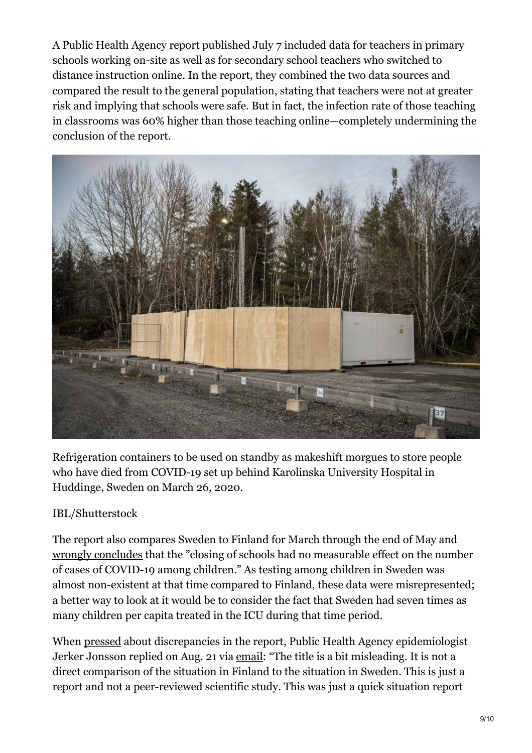A Public Health Agency [report](https://www.folkhalsomyndigheten.se/publicerat-material/publikationsarkiv/c/covid-19-in-schoolchildren/) published July 7 included data for teachers in primary schools working on-site as well as for secondary school teachers who switched to distance instruction online. In the report, they combined the two data sources and compared the result to the general population, stating that teachers were not at greater risk and implying that schools were safe. But in fact, the infection rate of those teaching in classrooms was 60% higher than those teaching online—completely undermining the conclusion of the report.



Refrigeration containers to be used on standby as makeshift morgues to store people who have died from COVID-19 set up behind Karolinska University Hospital in Huddinge, Sweden on March 26, 2020.

## IBL/Shutterstock

The report also compares Sweden to Finland for March through the end of May and wrongly [concludes](https://www.gp.se/debatt/l%C3%A4rare-troligen-bland-de-v%C3%A4rst-utsatta-f%C3%B6r-smittrisk-1.34121776) that the "closing of schools had no measurable effect on the number of cases of COVID-19 among children." As testing among children in Sweden was almost non-existent at that time compared to Finland, these data were misrepresented; a better way to look at it would be to consider the fact that Sweden had seven times as many children per capita treated in the ICU during that time period.

When [pressed](https://covidfactcheck.se/) about discrepancies in the report, Public Health Agency epidemiologist Jerker Jonsson replied on Aug. 21 via [email](https://covidfactcheck.se/): "The title is a bit misleading. It is not a direct comparison of the situation in Finland to the situation in Sweden. This is just a report and not a peer-reviewed scientific study. This was just a quick situation report